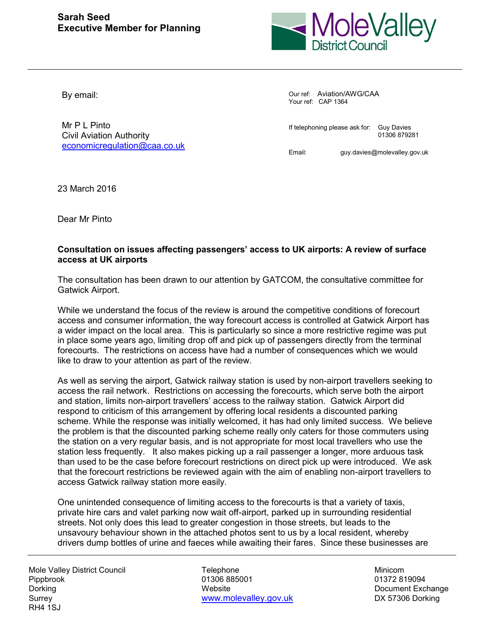

By email:

Mr P | Pinto Civil Aviation Authority [economicregulation@caa.co.uk](mailto:economicregulation@caa.co.uk) Our ref: Aviation/AWG/CAA Your ref: CAP 1364

If telephoning please ask for: Guy Davies 01306 879281

Email: guy.davies@molevalley.gov.uk

23 March 2016

Dear Mr Pinto

## **Consultation on issues affecting passengers' access to UK airports: A review of surface access at UK airports**

The consultation has been drawn to our attention by GATCOM, the consultative committee for Gatwick Airport.

While we understand the focus of the review is around the competitive conditions of forecourt access and consumer information, the way forecourt access is controlled at Gatwick Airport has a wider impact on the local area. This is particularly so since a more restrictive regime was put in place some years ago, limiting drop off and pick up of passengers directly from the terminal forecourts. The restrictions on access have had a number of consequences which we would like to draw to your attention as part of the review.

As well as serving the airport, Gatwick railway station is used by non-airport travellers seeking to access the rail network. Restrictions on accessing the forecourts, which serve both the airport and station, limits non-airport travellers' access to the railway station. Gatwick Airport did respond to criticism of this arrangement by offering local residents a discounted parking scheme. While the response was initially welcomed, it has had only limited success. We believe the problem is that the discounted parking scheme really only caters for those commuters using the station on a very regular basis, and is not appropriate for most local travellers who use the station less frequently. It also makes picking up a rail passenger a longer, more arduous task than used to be the case before forecourt restrictions on direct pick up were introduced. We ask that the forecourt restrictions be reviewed again with the aim of enabling non-airport travellers to access Gatwick railway station more easily.

One unintended consequence of limiting access to the forecourts is that a variety of taxis, private hire cars and valet parking now wait off-airport, parked up in surrounding residential streets. Not only does this lead to greater congestion in those streets, but leads to the unsavoury behaviour shown in the attached photos sent to us by a local resident, whereby drivers dump bottles of urine and faeces while awaiting their fares. Since these businesses are

Mole Valley District Council **Telephone** Telephone Minicom Pippbrook 01306 885001 01306 885001 01372 819094 Dorking **Document Exchange Contains Container Contains Contains Contains Contains Contains Document Exchange** Surrey [www.molevalley.gov.uk](http://www.molevalley.gov.uk/) DX 57306 Dorking RH4 1SJ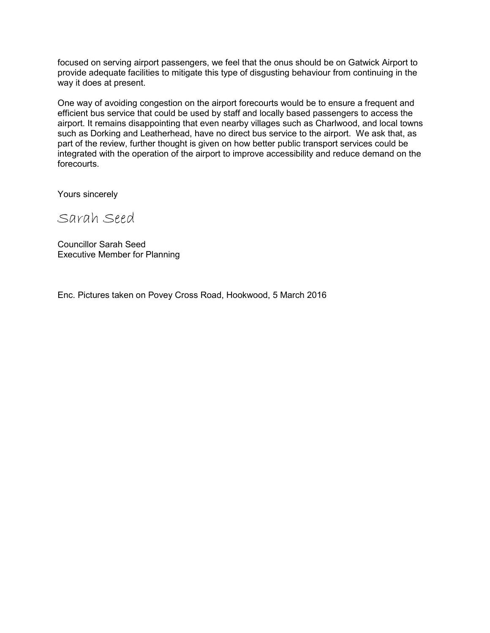focused on serving airport passengers, we feel that the onus should be on Gatwick Airport to provide adequate facilities to mitigate this type of disgusting behaviour from continuing in the way it does at present.

One way of avoiding congestion on the airport forecourts would be to ensure a frequent and efficient bus service that could be used by staff and locally based passengers to access the airport. It remains disappointing that even nearby villages such as Charlwood, and local towns such as Dorking and Leatherhead, have no direct bus service to the airport. We ask that, as part of the review, further thought is given on how better public transport services could be integrated with the operation of the airport to improve accessibility and reduce demand on the forecourts.

Yours sincerely

Sarah Seed

Councillor Sarah Seed Executive Member for Planning

Enc. Pictures taken on Povey Cross Road, Hookwood, 5 March 2016